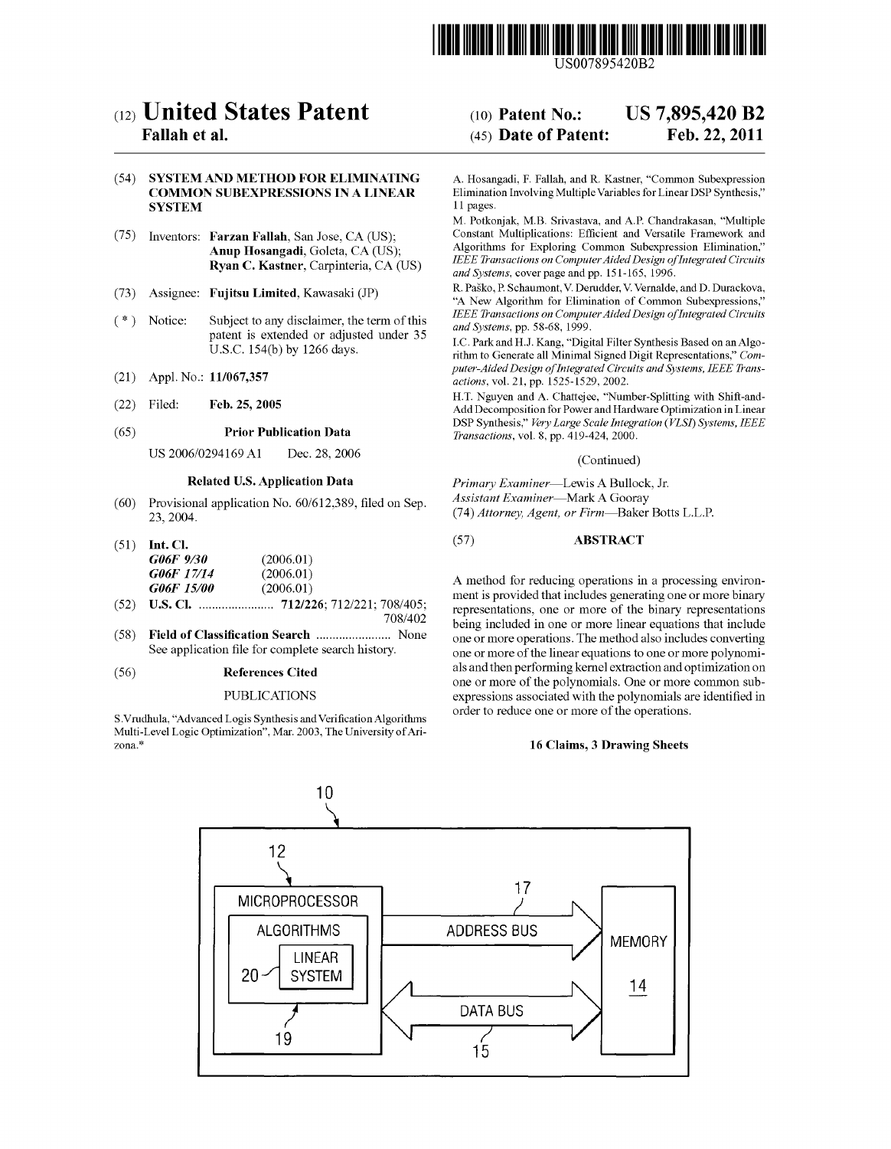

US007895420B2

# (12) United States Patent

# Fallah et al.

# (54) SYSTEMAND METHOD FOR ELIMINATING COMMON SUBEXPRESSIONS IN A LINEAR **SYSTEM**

- (75) Inventors: Farzan Fallah, San Jose, CA (US); Anup Hosangadi, Goleta, CA (US); Ryan C. Kastner, Carpinteria, CA (US)
- (73) Assignee: Fujitsu Limited, Kawasaki (JP)
- (\*) Notice: Subject to any disclaimer, the term of this patent is extended or adjusted under 35 U.S.C. 154(b) by 1266 days.
- (21) Appl. No.: 11/067.357
- (22) Filed: Feb. 25, 2005

#### Prior Publication Data (65)

US 2006/O294169 A1 Dec. 28, 2006

# Related U.S. Application Data

Provisional application No. 60/612,389, filed on Sep. 23, 2004. (60)

|                | $(51)$ Int. Cl.   |           |  |
|----------------|-------------------|-----------|--|
|                | G06F 9/30         | (2006.01) |  |
|                | G06F 17/14        | (2006.01) |  |
|                | <i>G06F 15/00</i> | (2006.01) |  |
| $\overline{A}$ | TT CL 2011        |           |  |

- U.S. Cl. ....................... 712/226; 712/221; 708/405: (52) 708/402
- Field of Classification Search ............................. None See application file for complete search history. (58)

#### (56) References Cited

#### PUBLICATIONS

S.Vrudhula, "Advanced Logis Synthesis and Verification Algorithms Multi-Level Logic Optimization'. Mar. 2003, The University of Ari Zona.

#### US 7,895,420 B2 Feb. 22, 2011 (10) Patent No.: (45) Date of Patent:

A. Hosangadi, F. Fallah, and R. Kastner, "Common Subexpression Elimination Involving Multiple Variables for Linear DSP Synthesis," 11 pages.

M. Potkonjak, M.B. Srivastava, and A.P. Chandrakasan, "Multiple Constant Multiplications: Efficient and Versatile Framework and Algorithms for Exploring Common Subexpression Elimination." IEEE Transactions on Computer Aided Design of Integrated Circuits and Systems, cover page and pp. 151-165, 1996.

R. Pasko, P. Schaumont, V. Derudder, V. Vernalde, and D. Durackova, "A New Algorithm for Elimination of Common Subexpressions." IEEE Transactions on Computer Aided Design of Integrated Circuits and Systems, pp. 58-68, 1999.<br>I.C. Park and H.J. Kang, "Digital Filter Synthesis Based on an Algo-

rithm to Generate all Minimal Signed Digit Representations," Computer-Aided Design of Integrated Circuits and Systems, IEEE Trans actions, vol. 21, pp. 1525-1529, 2002.

H.T. Nguyen and A. Chattejee, "Number-Splitting with Shift-and Add Decomposition for Power and Hardware Optimization in Linear DSP Synthesis." Very Large Scale Integration (VLSI) Systems, IEEE Transactions, vol. 8, pp. 419-424, 2000.

#### (Continued)

Primary Examiner-Lewis A Bullock, Jr. Assistant Examiner—Mark A Gooray (74) Attorney, Agent, or Firm-Baker Botts L.L.P.

#### (57) ABSTRACT

A method for reducing operations in a processing environ representations, one or more of the binary representations being included in one or more linear equations that include one or more operations. The method also includes converting one or more of the linear equations to one or more polynomi als and then performing kernel extraction and optimization on one or more of the polynomials. One or more common Sub expressions associated with the polynomials are identified in order to reduce one or more of the operations.

#### 16 Claims, 3 Drawing Sheets

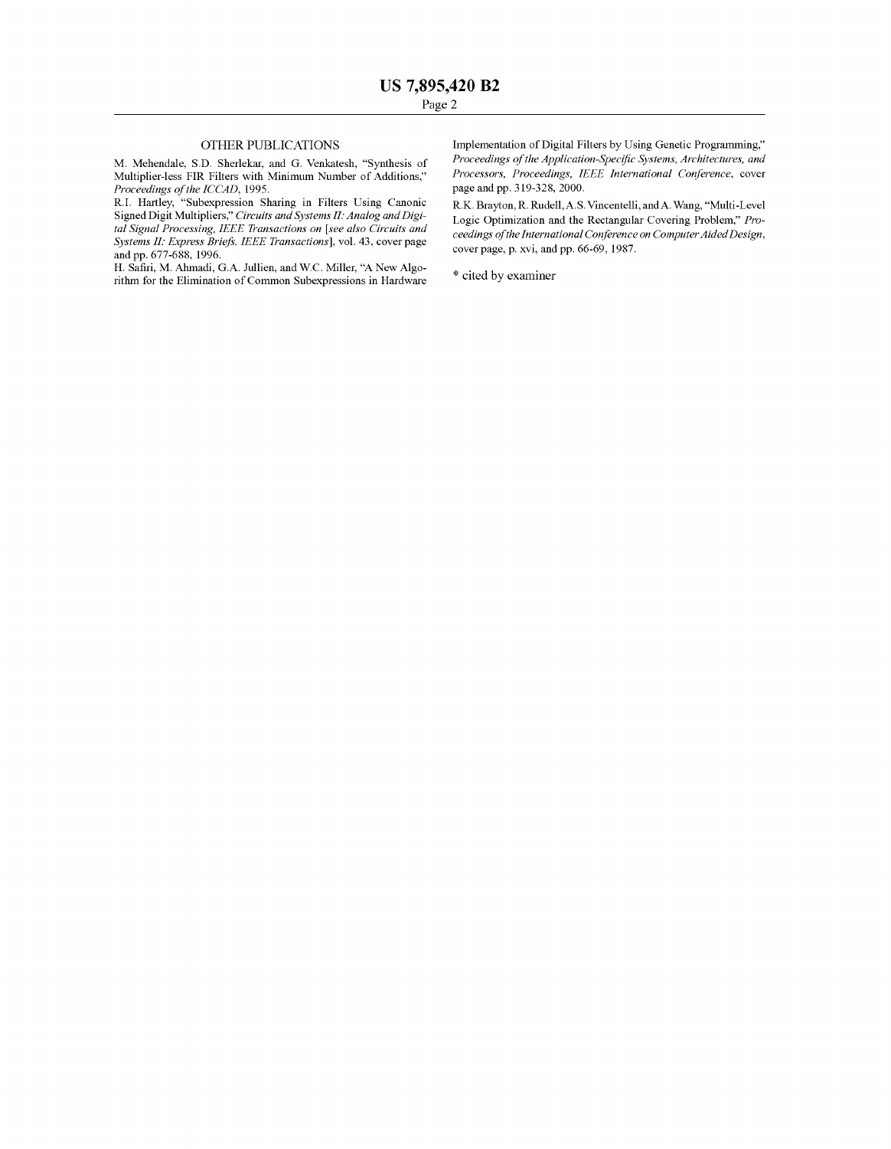## OTHER PUBLICATIONS

M. Mehendale, S.D. Sherlekar, and G. Venkatesh, "Synthesis of Multiplier-less FIR Filters with Minimum Number of Additions." Proceedings of the ICCAD, 1995.

R.I. Hartley, "Subexpression Sharing in Filters Using Canonic Signed Digit Multipliers." Circuits and Systems II: Analog and Digi tal Signal Processing, IEEE Transactions on [see also Circuits and Systems II: Express Briefs. IEEE Transactions], vol. 43, cover page and pp. 677-688, 1996.<br>H. Safiri, M. Ahmadi, G.A. Jullien, and W.C. Miller, "A New Algo-

rithm for the Elimination of Common Subexpressions in Hardware

Implementation of Digital Filters by Using Genetic Programming." Proceedings of the Application-Specific Systems, Architectures, and Processors, Proceedings, IEEE International Conference, cover page and pp. 319-328, 2000.

R.K. Brayton, R. Rudell, A.S. Vincentelli, and A. Wang, "Multi-Level Logic Optimization and the Rectangular Covering Problem." Pro ceedings of the International Conference on Computer Aided Design, cover page, p. xvi. and pp. 66-69, 1987.

\* cited by examiner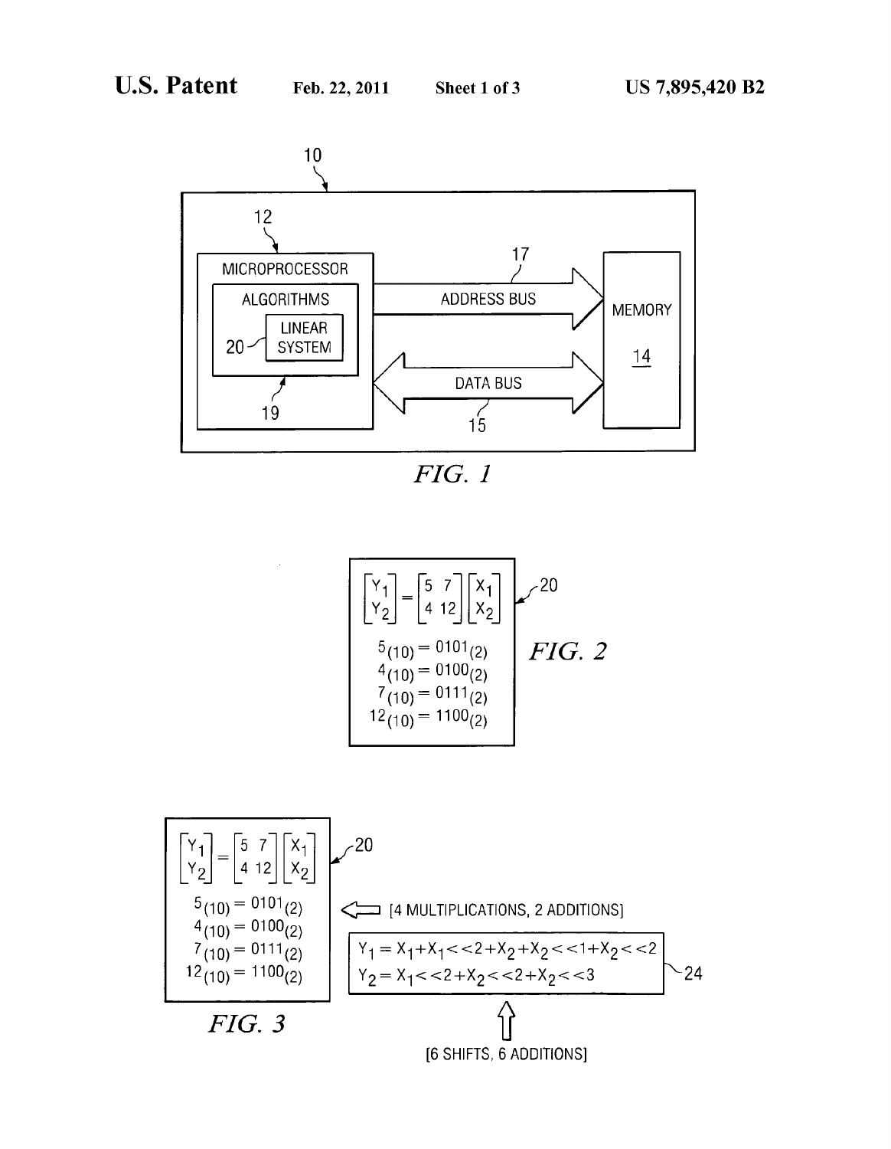$\sim$ 



FIG. I.

$$
\begin{bmatrix} Y_1 \\ Y_2 \end{bmatrix} = \begin{bmatrix} 5 & 7 \\ 4 & 12 \end{bmatrix} \begin{bmatrix} X_1 \\ X_2 \end{bmatrix}
$$
  
\n
$$
5_{(10)} = 0101_{(2)}
$$
  
\n
$$
4_{(10)} = 0100_{(2)}
$$
  
\n
$$
7_{(10)} = 0111_{(2)}
$$
  
\n
$$
12_{(10)} = 1100_{(2)}
$$

$$
\begin{bmatrix} Y_{1} \\ Y_{2} \end{bmatrix} = \begin{bmatrix} 5 & 7 \\ 4 & 12 \end{bmatrix} \begin{bmatrix} X_{1} \\ X_{2} \end{bmatrix}
$$
  
\n
$$
= 0101_{2}
$$
  
\n
$$
= 0100_{2}
$$
  
\n
$$
= 0111_{2}
$$
  
\n
$$
= 12_{(10)} = 0111_{(2)}
$$
  
\n
$$
= 1100_{(2)}
$$
  
\n
$$
= 1100_{(2)}
$$
  
\n
$$
= 1100_{(2)}
$$
  
\n
$$
= 1100_{(2)}
$$
  
\n
$$
= 1100_{(2)}
$$
  
\n
$$
= 1100_{(2)}
$$
  
\n
$$
= 1100_{(2)}
$$
  
\n
$$
= 1100_{(2)}
$$
  
\n
$$
= 1100_{(2)}
$$
  
\n
$$
= 1100_{(2)}
$$
  
\n
$$
= 1100_{(2)}
$$
  
\n
$$
= 1100_{(2)}
$$
  
\n
$$
= 1100_{(2)}
$$
  
\n
$$
= 1100_{(2)}
$$
  
\n
$$
= 1100_{(2)}
$$
  
\n
$$
= 1100_{(2)}
$$
  
\n
$$
= 1100_{(2)}
$$
  
\n
$$
= 1100_{(2)}
$$
  
\n
$$
= 1100_{(2)}
$$
  
\n
$$
= 1100_{(2)}
$$
  
\n
$$
= 1100_{(2)}
$$
  
\n
$$
= 1100_{(2)}
$$
  
\n
$$
= 1100_{(2)}
$$
  
\n
$$
= 1100_{(2)}
$$
  
\n
$$
= 1100_{(2)}
$$
  
\n
$$
= 1100_{(2)}
$$
  
\n
$$
= 1100_{(2)}
$$
  
\n
$$
= 1100_{(2)}
$$
  
\n
$$
= 11
$$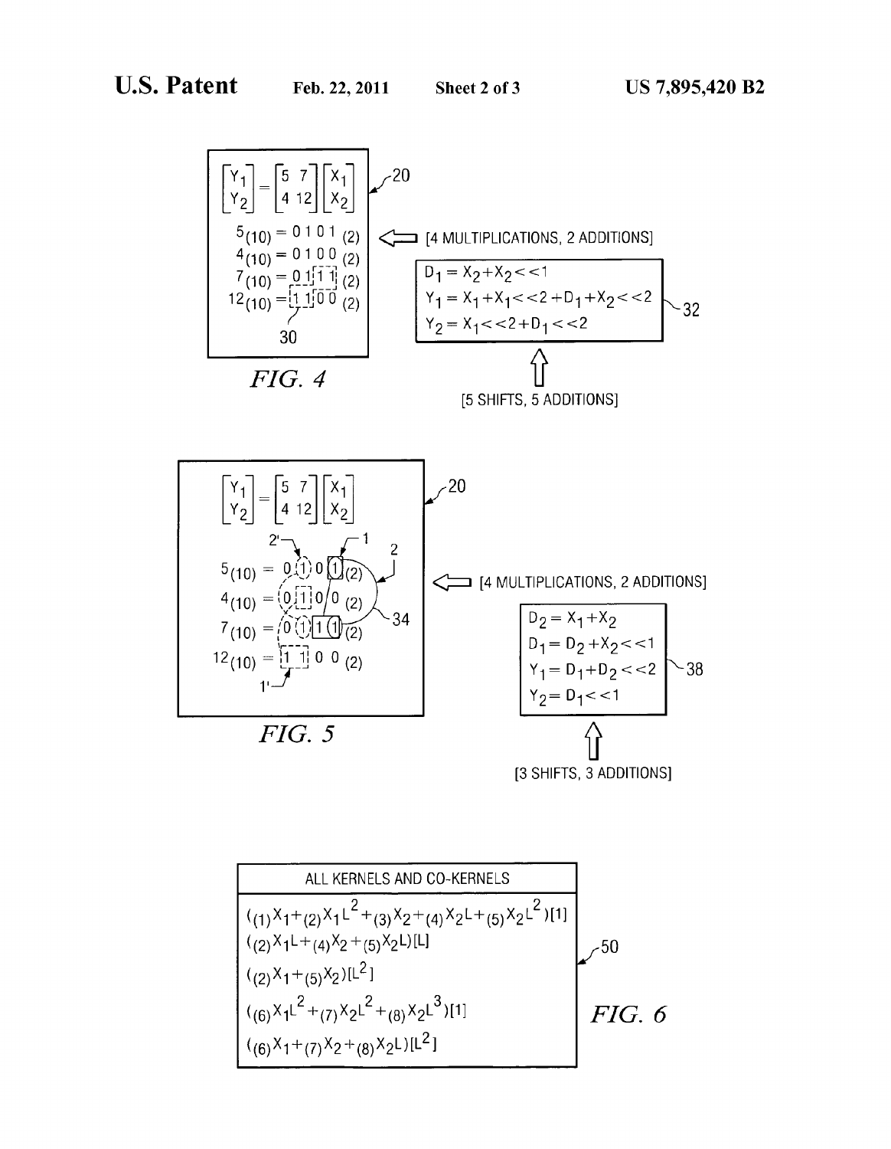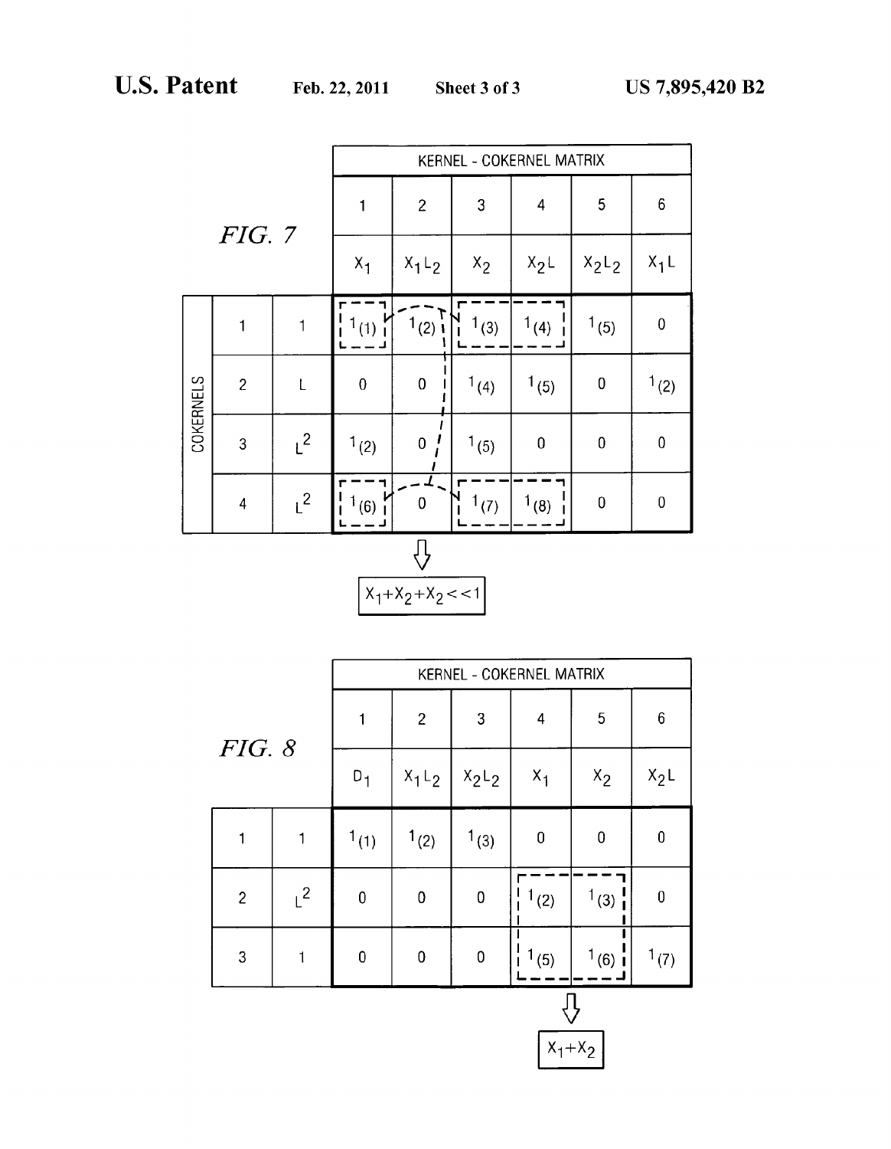|                  |                |              | KERNEL - COKERNEL MATRIX |                |           |                         |           |                  |
|------------------|----------------|--------------|--------------------------|----------------|-----------|-------------------------|-----------|------------------|
|                  |                |              | $\mathbf{1}$             | $\overline{c}$ | 3         | $\overline{\mathbf{4}}$ | 5         | 6                |
| <b>FIG. 7</b>    |                |              | $x_1$                    | $X_1L_2$       | $x_2$     | $X_2L$                  | $X_2L_2$  | $X_1L$           |
|                  | $\mathbf{1}$   | $\mathbf{1}$ | 1(1)                     | $1(2)$ i       | $1_{(3)}$ | 1(4)                    | 1(5)      | $\pmb{0}$        |
| <b>COKERNELS</b> | $\overline{c}$ | L            | $\pmb{0}$                | $\overline{0}$ | 1(4)      | 1(5)                    | $\pmb{0}$ | 1(2)             |
|                  | $\overline{3}$ | $L^2$        | 1(2)                     | 0              | 1(5)      | $\mathbf 0$             | $\bf{0}$  | $\mathbf 0$      |
|                  | $\overline{4}$ | $L^2$        | 1(6)                     | $\mathsf 0$    | 1(7)      | $1_{(8)}$               | $\pmb{0}$ | $\boldsymbol{0}$ |
|                  |                |              |                          |                |           |                         |           |                  |



| $\boldsymbol{6}$<br>$\overline{c}$<br>3<br>5<br>$\overline{\mathbf{4}}$<br>FIG. 8<br>$X_2L$<br>$D_1$<br>$x_1$ <sub>L<sub>2</sub></sub><br>$X_1$<br>$x_2$<br>$X_2L_2$<br>$\mathbf 0$<br>1(1)<br>1(2)<br>$1_{(3)}$<br>$\mathbf 0$<br>$\boldsymbol{0}$<br>1<br>$1^2$<br>1(3)<br>$\overline{2}$<br>$\pmb{0}$<br>$\mathbf 0$<br>1(2)<br>$\mathbf 0$<br>$\boldsymbol{0}$<br>3<br>$\pmb{0}$<br>$\pmb{0}$<br>$\pmb{0}$<br>1(5)<br>1(7)<br>1 |  |  | KERNEL - COKERNEL MATRIX |  |  |  |          |  |  |
|-------------------------------------------------------------------------------------------------------------------------------------------------------------------------------------------------------------------------------------------------------------------------------------------------------------------------------------------------------------------------------------------------------------------------------------|--|--|--------------------------|--|--|--|----------|--|--|
|                                                                                                                                                                                                                                                                                                                                                                                                                                     |  |  |                          |  |  |  |          |  |  |
|                                                                                                                                                                                                                                                                                                                                                                                                                                     |  |  |                          |  |  |  |          |  |  |
|                                                                                                                                                                                                                                                                                                                                                                                                                                     |  |  |                          |  |  |  |          |  |  |
|                                                                                                                                                                                                                                                                                                                                                                                                                                     |  |  |                          |  |  |  |          |  |  |
|                                                                                                                                                                                                                                                                                                                                                                                                                                     |  |  |                          |  |  |  | $1(6)$ i |  |  |

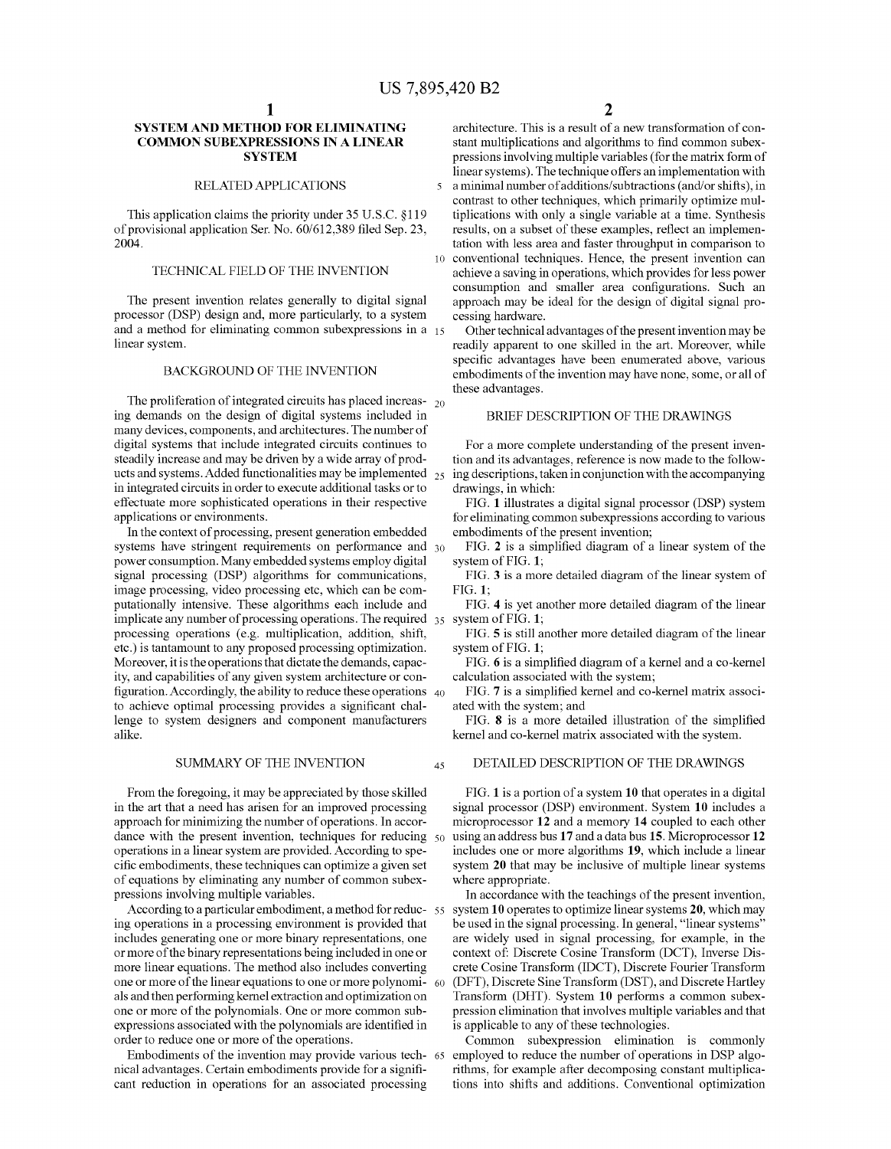$\overline{\mathbf{S}}$ 

45

## SYSTEMAND METHOD FOR ELMINATING COMMON SUBEXPRESSIONS IN A LINEAR SYSTEM

# RELATED APPLICATIONS

This application claims the priority under 35 U.S.C. §119 of provisional application Ser. No. 60/612,389 filed Sep. 23, 2004.

# TECHNICAL FIELD OF THE INVENTION

The present invention relates generally to digital signal processor (DSP) design and, more particularly, to a system and a method for eliminating common Subexpressions in a 15 linear system.

### BACKGROUND OF THE INVENTION

The proliferation of integrated circuits has placed increas- $_{20}$ ing demands on the design of digital systems included in many devices, components, and architectures. The number of digital systems that include integrated circuits continues to steadily increase and may be driven by a wide array of prod ucts and systems. Added functionalities may be implemented  $_{25}$ in integrated circuits in order to execute additional tasks or to effectuate more Sophisticated operations in their respective applications or environments.

In the context of processing, present generation embedded systems have stringent requirements on performance and 30 power consumption. Many embedded systems employ digital signal processing (DSP) algorithms for communications, image processing, video processing etc, which can be computationally intensive. These algorithms each include and implicate any number of processing operations. The required  $\frac{35}{35}$  system of FIG. 1; processing operations (e.g. multiplication, addition, shift, etc.) is tantamount to any proposed processing optimization. ity, and capabilities of any given system architecture or con- $\rm nguration.$  Accordingly, the ability to reduce these operations  $\rm \, 40$ to achieve optimal processing provides a significant chal lenge to system designers and component manufacturers alike.

### SUMMARY OF THE INVENTION

From the foregoing, it may be appreciated by those skilled<br>in the art that a need has arisen for an improved processing approach for minimizing the number of operations. In accoroperations in a linear system are provided. According to specific embodiments, these techniques can optimize a given set of equations by eliminating any number of common subexpressions involving multiple variables. dance with the present invention, techniques for reducing  $50$ 

According to a particular embodiment, a method for reduc- 55 ing operations in a processing environment is provided that includes generating one or more binary representations, one or more of the binary representations being included in one or more linear equations. The method also includes converting one or more of the linear equations to one or more polynomi- 60 als and then performing kernel extraction and optimization on one or more of the polynomials. One or more common Sub expressions associated with the polynomials are identified in order to reduce one or more of the operations.

Embodiments of the invention may provide various tech 65 nical advantages. Certain embodiments provide for a signifi cant reduction in operations for an associated processing

architecture. This is a result of a new transformation of con stant multiplications and algorithms to find common subexpressions involving multiple variables (for the matrix form of linear systems). The technique offers an implementation with a minimal number of additions/subtractions (and/or shifts), in contrast to other techniques, which primarily optimize mul tiplications with only a single variable at a time. Synthesis results, on a subset of these examples, reflect an implementation with less area and faster throughput in comparison to conventional techniques. Hence, the present invention can achieve a saving in operations, which provides for less power consumption and smaller area configurations. Such an approach may be ideal for the design of digital signal pro cessing hardware.

Other technical advantages of the present invention may be readily apparent to one skilled in the art. Moreover, while specific advantages have been enumerated above, various embodiments of the invention may have none, some, or all of these advantages.

# BRIEF DESCRIPTION OF THE DRAWINGS

For a more complete understanding of the present inven tion and its advantages, reference is now made to the follow ing descriptions, taken in conjunction with the accompanying drawings, in which:

FIG. 1 illustrates a digital signal processor (DSP) system for eliminating common subexpressions according to various embodiments of the present invention:

FIG. 2 is a simplified diagram of a linear system of the system of FIG. 1;

FIG. 3 is a more detailed diagram of the linear system of FIG. 1:

FIG. 4 is yet another more detailed diagram of the linear

FIG. 5 is still another more detailed diagram of the linear system of FIG. 1;

FIG. 6 is a simplified diagram of a kernel and a co-kernel calculation associated with the system;

FIG. 7 is a simplified kernel and co-kernel matrix associ ated with the system; and

FIG. 8 is a more detailed illustration of the simplified kernel and co-kernel matrix associated with the system.

#### DETAILED DESCRIPTION OF THE DRAWINGS

FIG. 1 is a portion of a system 10 that operates in a digital signal processor (DSP) environment. System 10 includes a microprocessor 12 and a memory 14 coupled to each other using an address bus 17 and a data bus 15. Microprocessor 12 includes one or more algorithms 19, which include a linear system 20 that may be inclusive of multiple linear systems where appropriate.

In accordance with the teachings of the present invention, system 10 operates to optimize linear systems 20, which may be used in the signal processing. In general, "linear systems' are widely used in signal processing, for example, in the context of: Discrete Cosine Transform (DCT), Inverse Discrete Cosine Transform (IDCT), Discrete Fourier Transform Transform (DHT). System 10 performs a common subexpression elimination that involves multiple variables and that is applicable to any of these technologies.

Common subexpression elimination is commonly employed to reduce the number of operations in DSP algorithms, for example after decomposing constant multiplications into shifts and additions. Conventional optimization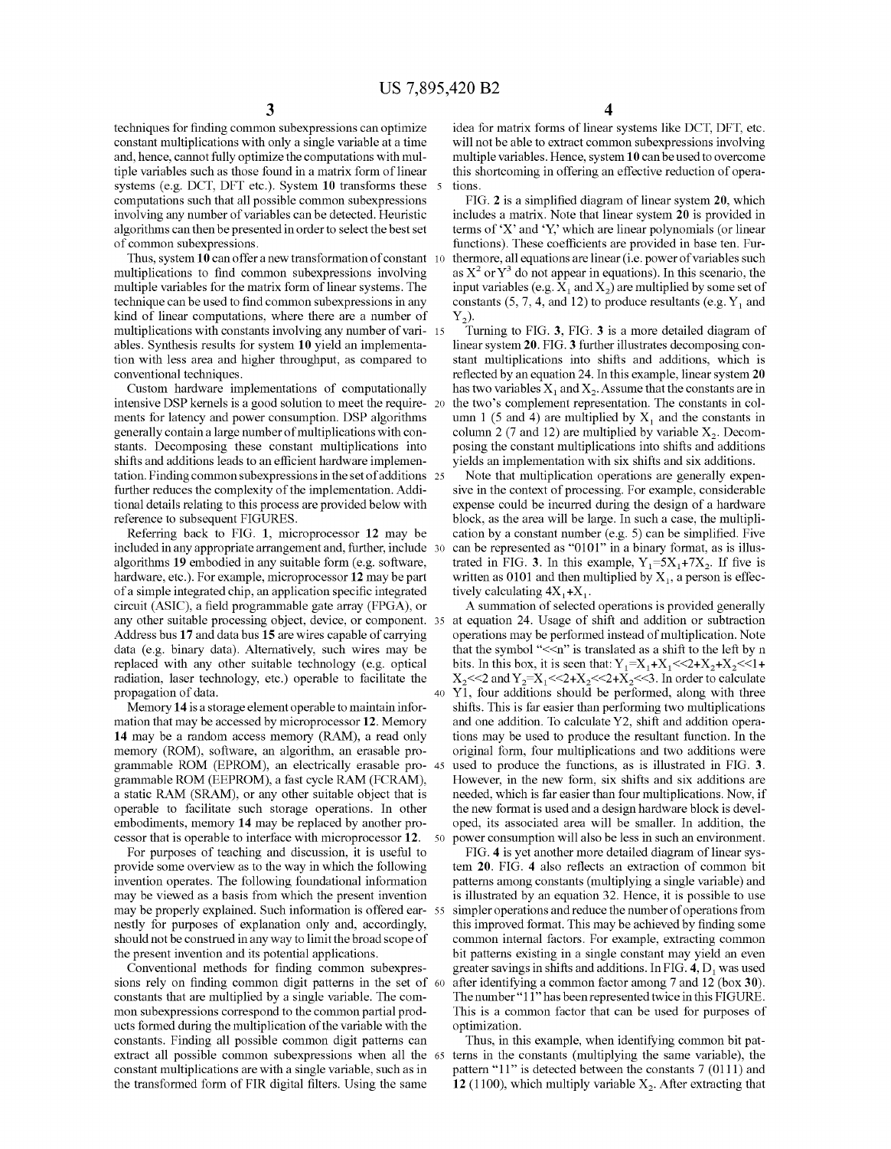techniques for finding common Subexpressions can optimize constant multiplications with only a single variable at a time and, hence, cannot fully optimize the computations with mul tiple variables such as those found in a matrix form of linear systems (e.g. DCT, DFT etc.). System **10** transforms these 5 computations such that all possible common subexpressions involving any number of variables can be detected. Heuristic algorithms can then be presented in order to select the best set of common Subexpressions.

Thus, system 10 can offer a new transformation of constant 10 multiplications to find common Subexpressions involving multiple variables for the matrix form of linear systems. The technique can be used to find common Subexpressions in any kind of linear computations, where there are a number of multiplications with constants involving any number of vari- 15 ables. Synthesis results for system 10 yield an implementa tion with less area and higher throughput, as compared to conventional techniques.

Custom hardware implementations of computationally intensive DSP kernels is a good solution to meet the require ments for latency and power consumption. DSP algorithms generally contain a large number of multiplications with con stants. Decomposing these constant multiplications into shifts and additions leads to an efficient hardware implemenshifts and additions leads to an efficient hardware implementation. Finding common subexpressions in the set of additions 25 further reduces the complexity of the implementation. Addi tional details relating to this process are provided below with reference to subsequent FIGURES.

Referring back to FIG. 1, microprocessor 12 may be included in any appropriate arrangement and, further, include 30 algorithms 19 embodied in any suitable form (e.g. software, hardware, etc.). For example, microprocessor  $12$  may be part of a simple integrated chip, an application specific integrated circuit (ASIC), a field programmable gate array (FPGA), or any other Suitable processing object, device, or component. 35 Address bus 17 and data bus 15 are wires capable of carrying data (e.g. binary data). Alternatively. Such wires may be replaced with any other suitable technology (e.g. optical radiation, laser technology, etc.) operable to facilitate the propagation of data. 40

Memory 14 is a storage element operable to maintain infor mation that may be accessed by microprocessor 12. Memory 14 may be a random access memory (RAM), a read only memory (ROM), software, an algorithm, an erasable pro grammable ROM (EPROM), an electrically erasable pro 45 grammable ROM (EEPROM), a fast cycle RAM (FCRAM), a static RAM (SRAM), or any other suitable object that is operable to facilitate such storage operations. In other embodiments, memory 14 may be replaced by another pro cessor that is operable to interface with microprocessor 12. 50

For purposes of teaching and discussion, it is useful to provide some overview as to the way in which the following invention operates. The following foundational information may be viewed as a basis from which the present invention may be properly explained. Such information is offered ear- 55 nestly for purposes of explanation only and, accordingly, should not be construed in any way to limit the broad scope of

the present invention and its potential applications.<br>Conventional methods for finding common subexpres-Conventional methods for finding common subexpressions rely on finding common digit patterns in the set of 60 constants that are multiplied by a single variable. The com mon subexpressions correspond to the common partial products formed during the multiplication of the variable with the constants. Finding all possible common digit patterns can extract all possible common Subexpressions when all the 65 constant multiplications are with a single variable, such as in the transformed form of FIR digital filters. Using the same

4

idea for matrix forms of linear systems like DCT, DFT, etc. will not be able to extract common subexpressions involving multiple variables. Hence, system 10 can be used to overcome this shortcoming in offering an effective reduction of opera tions.

FIG. 2 is a simplified diagram of linear system 20, which includes a matrix. Note that linear system 20 is provided in terms of 'X' and 'Y,' which are linear polynomials (or linear functions). These coefficients are provided in base ten. Fur thermore, all equations are linear (i.e. power of variables Such as  $X^2$  or  $Y^3$  do not appear in equations). In this scenario, the input variables (e.g.  $X_1$  and  $X_2$ ) are multiplied by some set of constants (5, 7, 4, and 12) to produce resultants (e.g.  $Y_1$  and  $Y_2$ ).

Turning to FIG. 3, FIG. 3 is a more detailed diagram of linear system 20. FIG. 3 further illustrates decomposing con stant multiplications into shifts and additions, which is reflected by an equation 24. In this example, linear system 20 has two variables  $X_1$  and  $X_2$ . Assume that the constants are in the two's complement representation. The constants in col umn 1 (5 and 4) are multiplied by  $X_1$  and the constants in column 2 (7 and 12) are multiplied by variable  $X_2$ . Decomposing the constant multiplications into shifts and additions yields an implementation with six shifts and six additions.

Note that multiplication operations are generally expen sive in the context of processing. For example, considerable expense could be incurred during the design of a hardware block, as the area will be large. In such a case, the multiplication by a constant number (e.g. 5) can be simplified. Five can be represented as "0101" in a binary format, as is illustrated in FIG. 3. In this example,  $Y_1=5X_1+7X_2$ . If five is written as 0101 and then multiplied by  $X_1$ , a person is effectively calculating  $4X_1+X_1$ .

A Summation of selected operations is provided generally at equation 24. Usage of shift and addition or Subtraction operations may be performed instead of multiplication. Note that the symbol " $\leq$ n" is translated as a shift to the left by n bits. In this box, it is seen that:  $Y_1 = X_1 + X_1 \leq 2 + X_2 + X_2 \leq 1 +$  $X_2 \ll 2$  and  $Y_2 = X_1 \ll 2 + X_2 \ll 2 + X_2 \ll 3$ . In order to calculate Y1, four additions should be performed, along with three shifts. This is far easier than performing two multiplications and one addition. To calculate Y2, shift and addition operations may be used to produce the resultant function. In the original form, four multiplications and two additions were used to produce the functions, as is illustrated in FIG. 3. However, in the new form, six shifts and six additions are needed, which is far easier than four multiplications. Now, if the new format is used and a design hardware block is devel oped, its associated area will be Smaller. In addition, the power consumption will also be less in Such an environment.

FIG. 4 is yet another more detailed diagram of linear sys tem. 20. FIG. 4 also reflects an extraction of common bit patterns among constants (multiplying a single variable) and is illustrated by an equation 32. Hence, it is possible to use simpler operations and reduce the number of operations from this improved format. This may be achieved by finding some common internal factors. For example, extracting common bit patterns existing in a single constant may yield an even greater savings in shifts and additions. In FIG.  $4$ ,  $D_1$  was used after identifying a common factor among 7 and 12 (box 30). The number"11" has been represented twice in this FIGURE. This is a common factor that can be used for purposes of optimization.

Thus, in this example, when identifying common bit pat terns in the constants (multiplying the same variable), the pattern " $11$ " is detected between the constants  $7(0111)$  and 12 (1100), which multiply variable  $X_2$ . After extracting that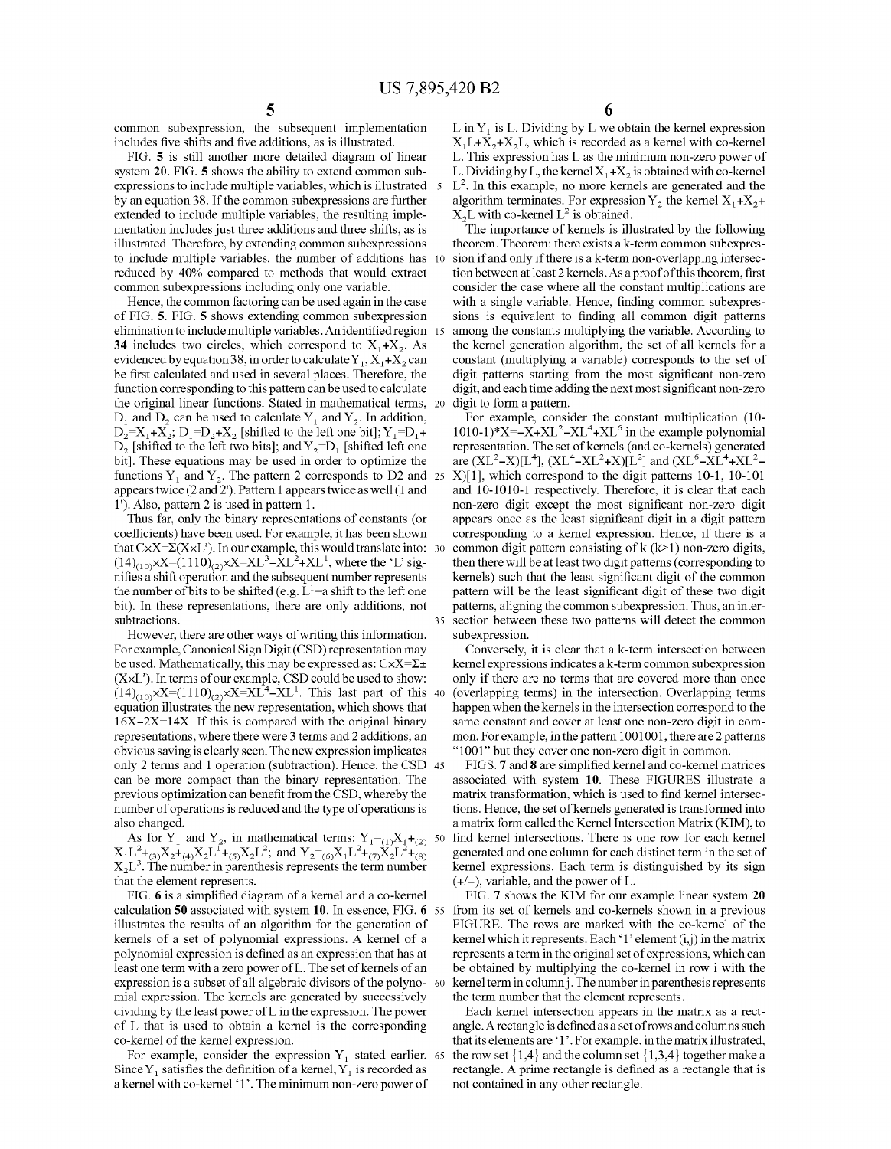common subexpression, the subsequent implementation includes five shifts and five additions, as is illustrated.

FIG. 5 is still another more detailed diagram of linear system 20. FIG. 5 shows the ability to extend common subexpressions to include multiple variables, which is illustrated 5 by an equation 38. If the common subexpressions are further extended to include multiple variables, the resulting imple mentation includes just three additions and three shifts, as is illustrated. Therefore, by extending common subexpressions to include multiple variables, the number of additions has 10 reduced by 40% compared to methods that would extract common Subexpressions including only one variable.

Hence, the common factoring can be used again in the case of FIG. 5. FIG. 5 shows extending common subexpression elimination to include multiple variables. An identified region 15 34 includes two circles, which correspond to  $X_1+X_2$ . As evidenced by equation 38, in order to calculate  $Y_1, X_1+X_2$  can be first calculated and used in several places. Therefore, the function corresponding to this pattern can be used to calculate the original linear functions. Stated in mathematical terms,  $D_1$  and  $D_2$  can be used to calculate  $Y_1$  and  $Y_2$ . In addition,  $D_2=X_1+X_2$ ;  $D_1=D_2+X_2$  [shifted to the left one bit];  $Y_1=D_1+Y_2$  $D_2$  [shifted to the left two bits]; and  $Y_2=D_1$  [shifted left one bit]. These equations may be used in order to optimize the functions  $Y_1$  and  $Y_2$ . The pattern 2 corresponds to D2 and 25 appears twice (2 and 2'). Pattern 1 appears twice as well (1 and <sup>1</sup>'). Also, pattern 2 is used in pattern 1.

Thus far, only the binary representations of constants (or coefficients) have been used. For example, it has been shown that  $C \times X = \Sigma(X \times L')$ . In our example, this would translate into: 30  $\pm$  $(14)_{(10)}\times X=(1110)_{(2)}\times X=XL^3+XL^2+XL^1$ , where the 'L' signifies a shift operation and the subsequent number represents the number of bits to be shifted (e.g.  $L^1$  = a shift to the left one bit). In these representations, there are only additions, not subtractions.

However, there are other ways of writing this information. For example, Canonical Sign Digit (CSD) representation may be used. Mathematically, this may be expressed as:  $C \times X = \Sigma \pm \Sigma$  $(X \times L<sup>i</sup>)$ . In terms of our example, CSD could be used to show: equation illustrates the new representation, which shows that  $16X-2X=14X$ . If this is compared with the original binary representations, where there were 3 terms and 2 additions, an obvious saving is clearly seen. The new expression implicates only 2 terms and 1 operation (subtraction). Hence, the CSD 45 can be more compact than the binary representation. The previous optimization can benefit from the CSD, whereby the number of operations is reduced and the type of operations is also changed.  $(14)_{(10)}\times X = (1110)_{(2)}\times X = XL^4 - XL^1$ . This last part of this 40

As for Y<sub>1</sub> and Y<sub>2</sub>, in mathematical terms:  $Y_1 = (1)X_1 + (2)$  50<br>  $X_1L^2 + (3)X_2 + (4)X_2L^1 + (5)X_2L^2$ ; and  $Y_2 = (6)X_1L^2 + (7)X_2L^2 + (8)$ <br>  $Y_1 = (3)X_1 + (7)X_2L^2 + (8)$  $X_2L^3$ . The number in parenthesis represents the term number that the element represents.

FIG. 6 is a simplified diagram of a kernel and a co-kernel calculation 50 associated with system 10. In essence, FIG. 6 55 illustrates the results of an algorithm for the generation of kernels of a set of polynomial expressions. A kernel of a polynomial expression is defined as an expression that has at least one term with a zero power of L. The set of kernels of an mial expression. The kernels are generated by successively dividing by the least power of L in the expression. The power of L that is used to obtain a kernel is the corresponding co-kernel of the kernel expression. expression is a subset of all algebraic divisors of the polyno- 60

For example, consider the expression  $Y_1$  stated earlier. 65 Since  $Y_1$  satisfies the definition of a kernel,  $Y_1$  is recorded as a kernel with co-kernel '1'. The minimum non-zero power of

L in  $Y_1$  is L. Dividing by L we obtain the kernel expression  $X_1L+X_2+X_2L$ , which is recorded as a kernel with co-kernel L. This expression has L as the minimum non-Zero power of L. Dividing by L, the kernel  $X_1+X_2$  is obtained with co-kernel  $L<sup>2</sup>$ . In this example, no more kernels are generated and the algorithm terminates. For expression  $Y_2$  the kernel  $X_1+X_2+$  $X_2L$  with co-kernel  $L^2$  is obtained.

The importance of kernels is illustrated by the following theorem. Theorem: there exists a k-term common subexpression if and only if there is a k-term non-overlapping intersection between at least 2 kernels. As a proof of this theorem, first consider the case where all the constant multiplications are with a single variable. Hence, finding common subexpressions is equivalent to finding all common digit patterns among the constants multiplying the variable. According to the kernel generation algorithm, the set of all kernels for a constant (multiplying a variable) corresponds to the set of digit patterns starting from the most significant non-zero digit, and each time adding the next most significant non-zero digit to form a pattern.

For example, consider the constant multiplication (10-1010-1)\*X=-X+XL<sup>2</sup>-XL<sup>4</sup>+XL<sup>6</sup> in the example polynomial representation. The set of kernels (and co-kernels) generated are  $(XL^2-X)[L^4]$ ,  $(XL^4-XL^2+X)[L^2]$  and  $(XL^6-XL^4+XL^2 X$ [1], which correspond to the digit patterns 10-1, 10-101 and 10-1010-1 respectively. Therefore, it is clear that each non-Zero digit except the most significant non-Zero digit appears once as the least significant digit in a digit pattern corresponding to a kernel expression. Hence, if there is a common digit pattern consisting of  $k$  ( $k$ >1) non-zero digits, then there will be at least two digit patterns (corresponding to kernels) such that the least significant digit of the common pattern will be the least significant digit of these two digit patterns, aligning the common Subexpression. Thus, an inter section between these two patterns will detect the common subexpression.

Conversely, it is clear that a k-term intersection between kernel expressions indicates a k-term common subexpression only if there are no terms that are covered more than once (overlapping terms) in the intersection. Overlapping terms happen when the kernels in the intersection correspond to the same constant and cover at least one non-zero digit in com mon. For example, in the pattern 1001001, there are 2 patterns "1001" but they cover one non-zero digit in common.

FIGS. 7 and 8 are simplified kernel and co-kernel matrices associated with system 10. These FIGURES illustrate a matrix transformation, which is used to find kernel intersec tions. Hence, the set of kernels generated is transformed into a matrix form called the Kernel Intersection Matrix (KIM), to find kernel intersections. There is one row for each kernel generated and one column for each distinct term in the set of kernel expressions. Each term is distinguished by its sign  $(+/-)$ , variable, and the power of L.

FIG. 7 shows the KIM for our example linear system 20 from its set of kernels and co-kernels shown in a previous FIGURE. The rows are marked with the co-kernel of the kernel which it represents. Each '1' element  $(i,j)$  in the matrix represents a term in the original set of expressions, which can be obtained by multiplying the co-kernel in row i with the kernel term in column j. The number in parenthesis represents the term number that the element represents.

Each kernel intersection appears in the matrix as a rect angle. A rectangle is defined as a set of rows and columns such that its elements are '1'. For example, in the matrix illustrated, the row set  $\{1,4\}$  and the column set  $\{1,3,4\}$  together make a rectangle. A prime rectangle is defined as a rectangle that is not contained in any other rectangle.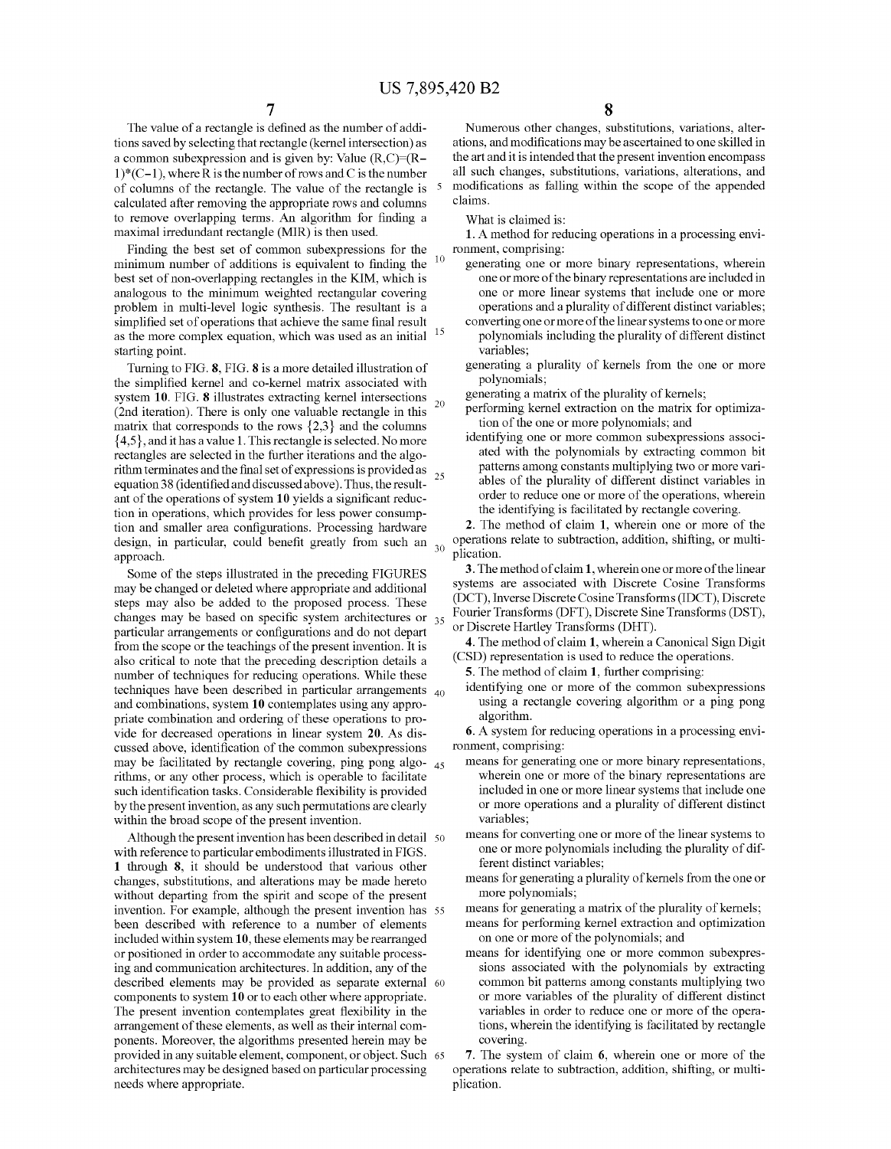15

The value of a rectangle is defined as the number of addi tions saved by selecting that rectangle (kernel intersection) as a common subexpression and is given by: Value  $(R, C) = (R 1^*(C-1)$ , where R is the number of rows and C is the number of columns of the rectangle. The value of the rectangle is calculated after removing the appropriate rows and columns to remove overlapping terms. An algorithm for finding a maximal irredundant rectangle (MIR) is then used.

Finding the best set of common subexpressions for the minimum number of additions is equivalent to finding the best set of non-overlapping rectangles in the KIM, which is analogous to the minimum weighted rectangular covering problem in multi-level logic synthesis. The resultant is a simplified set of operations that achieve the same final result as the more complex equation, which was used as an initial starting point.

Turning to FIG. 8, FIG. 8 is a more detailed illustration of the simplified kernel and co-kernel matrix associated with system 10. FIG. 8 illustrates extracting kernel intersections 20 (2nd iteration). There is only one valuable rectangle in this matrix that corresponds to the rows  $\{2,3\}$  and the columns  $\{4,5\}$ , and it has a value 1. This rectangle is selected. No more rectangles are selected in the further iterations and the algorithm terminates and the final set of expressions is provided as 25 equation 38 (identified and discussed above). Thus, the result ant of the operations of system 10 yields a significant reduc tion in operations, which provides for less power consump tion and Smaller area configurations. Processing hardware design, in particular, could benefit greatly from such an  $_{30}$ approach.

Some of the steps illustrated in the preceding FIGURES may be changed or deleted where appropriate and additional steps may also be added to the proposed process. These changes may be based on specific system architectures or  $35$ particular arrangements or configurations and do not depart from the scope or the teachings of the present invention. It is also critical to note that the preceding description details a number of techniques for reducing operations. While these  $t$ echniques have been described in particular arrangements  $_{40}$ and combinations, system 10 contemplates using any appro priate combination and ordering of these operations to pro vide for decreased operations in linear system 20. As dis cussed above, identification of the common Subexpressions may be facilitated by rectangle covering, ping pong algo- $_{45}$ rithms, or any other process, which is operable to facilitate such identification tasks. Considerable flexibility is provided by the present invention, as any such permutations are clearly within the broad scope of the present invention.

Although the present invention has been described in detail 50 with reference to particular embodiments illustrated in FIGS. 1 through 8, it should be understood that various other changes, substitutions, and alterations may be made hereto without departing from the spirit and scope of the present invention. For example, although the present invention has 55 been described with reference to a number of elements included within system 10, these elements may be rearranged or positioned in order to accommodate any suitable process ing and communication architectures. In addition, any of the described elements may be provided as separate external 60 components to system 10 or to each other where appropriate. The present invention contemplates great flexibility in the arrangement of these elements, as well as their internal com ponents. Moreover, the algorithms presented herein may be provided in any suitable element, component, or object. Such 65 architectures may be designed based on particular processing needs where appropriate.

Numerous other changes, substitutions, variations, alterations, and modifications may be ascertained to one skilled in the art and it is intended that the present invention encompass all such changes, substitutions, variations, alterations, and modifications as falling within the scope of the appended claims.

What is claimed is:

1. A method for reducing operations in a processing envi

- generating one or more binary representations, wherein one or more of the binary representations are included in one or more linear Systems that include one or more operations and a plurality of different distinct variables:
- converting one or more of the linear systems to one or more polynomials including the plurality of different distinct variables;
- generating a plurality of kernels from the one or more polynomials;

generating a matrix of the plurality of kernels;

- performing kernel extraction on the matrix for optimiza tion of the one or more polynomials; and
- identifying one or more common subexpressions associated with the polynomials by extracting common bit patterns among constants multiplying two or more vari ables of the plurality of different distinct variables in order to reduce one or more of the operations, wherein the identifying is facilitated by rectangle covering.

2. The method of claim 1, wherein one or more of the operations relate to Subtraction, addition, shifting, or multi plication.

3. The method of claim 1, wherein one or more of the linear systems are associated with Discrete Cosine Transforms (DCT), Inverse Discrete Cosine Transforms (IDCT), Discrete Fourier Transforms (DFT), Discrete Sine Transforms (DST),

or Discrete Hartley Transforms (DHT).<br>4. The method of claim 1, wherein a Canonical Sign Digit (CSD) representation is used to reduce the operations.

5. The method of claim 1, further comprising:<br>identifying one or more of the common subexpressions using a rectangle covering algorithm or a ping pong algorithm.

6. A system for reducing operations in a processing envi ronment, comprising:

- means for generating one or more binary representations, wherein one or more of the binary representations are included in one or more linear systems that include one or more operations and a plurality of different distinct variables;
- means for converting one or more of the linear systems to one or more polynomials including the plurality of dif ferent distinct variables;
- means for generating a plurality of kernels from the one or more polynomials;

means for generating a matrix of the plurality of kernels;

- means for performing kernel extraction and optimization
- on one or more of the polynomials; and<br>means for identifying one or more common subexpressions associated with the polynomials by extracting common bit patterns among constants multiplying two or more variables of the plurality of different distinct tions, wherein the identifying is facilitated by rectangle covering.

7. The system of claim 6, wherein one or more of the operations relate to subtraction, addition, shifting, or multiplication.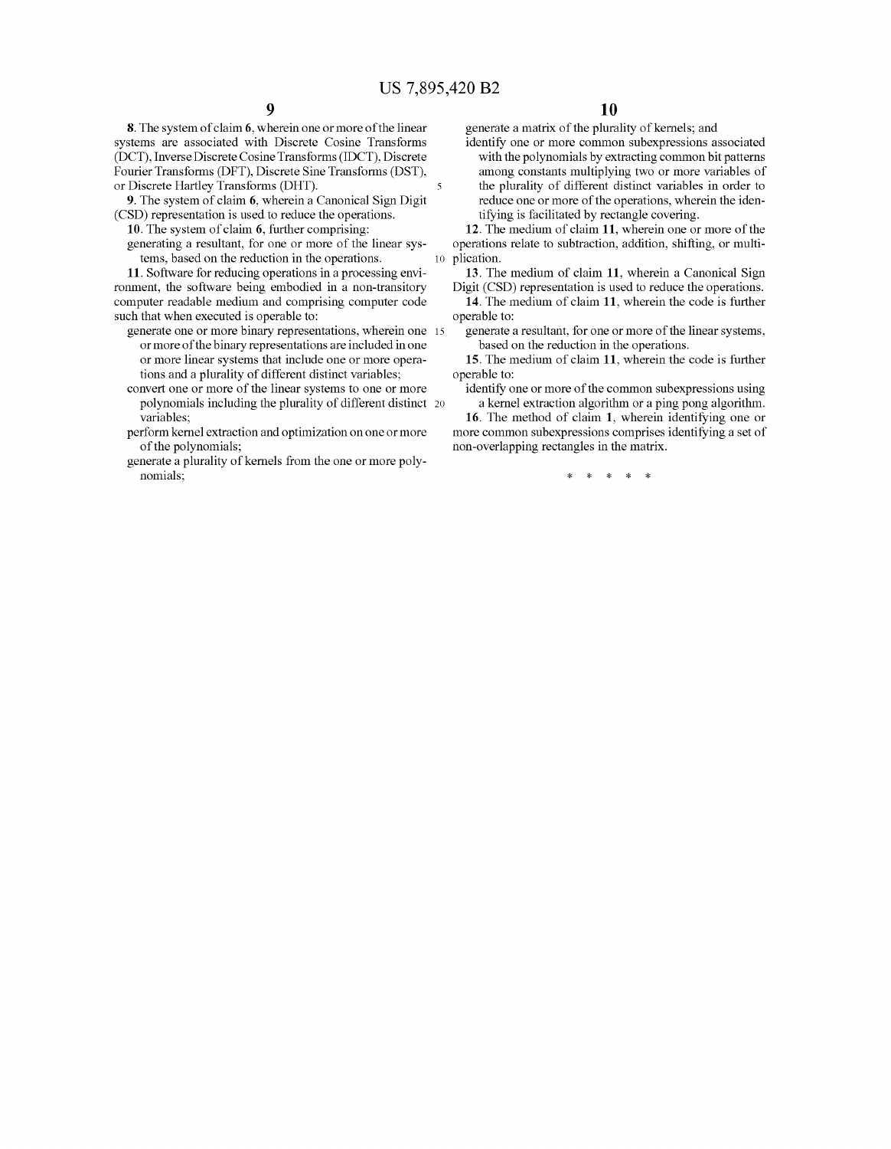8. The system of claim 6, wherein one or more of the linear systems are associated with Discrete Cosine Transforms (DCT), Inverse Discrete Cosine Transforms (IDCT), Discrete Fourier Transforms (DFT), Discrete Sine Transforms (DST), or Discrete Hartley Transforms (DHT).<br>
9. The system of claim 6, wherein a Canonical Sign Digit

(CSD) representation is used to reduce the operations.

10. The system of claim 6, further comprising: generating a resultant, for one or more of the linear systems, based on the reduction in the operations.

11. Software for reducing operations in a processing environment, the software being embodied in a non-transitory computer readable medium and comprising computer code such that when executed is operable to:

- generate one or more binary representations, wherein one 15 or more of the binary representations are included in one or more linear systems that include one or more opera tions and a plurality of different distinct variables;
- convert one or more of the linear systems to one or more polynomials including the plurality of different distinct variables;
- perform kernel extraction and optimization on one or more of the polynomials;
- generate a plurality of kernels from the one or more poly nomials;

generate a matrix of the plurality of kernels; and

identify one or more common subexpressions associated with the polynomials by extracting common bit patterns among constants multiplying two or more variables of the plurality of different distinct variables in order to reduce one or more of the operations, wherein the iden tifying is facilitated by rectangle covering.

10 plication. 12. The medium of claim 11, wherein one or more of the operations relate to Subtraction, addition, shifting, or multi

13. The medium of claim 11, wherein a Canonical Sign Digit (CSD) representation is used to reduce the operations.

14. The medium of claim 11, wherein the code is further operable to:

generate a resultant, for one or more of the linear systems, based on the reduction in the operations.

15. The medium of claim 11, wherein the code is further operable to:

identify one or more of the common subexpressions using a kernel extraction algorithm or a ping pong algorithm.

16. The method of claim 1, wherein identifying one or more common subexpressions comprises identifying a set of non-overlapping rectangles in the matrix.

\* \* \* \* \*